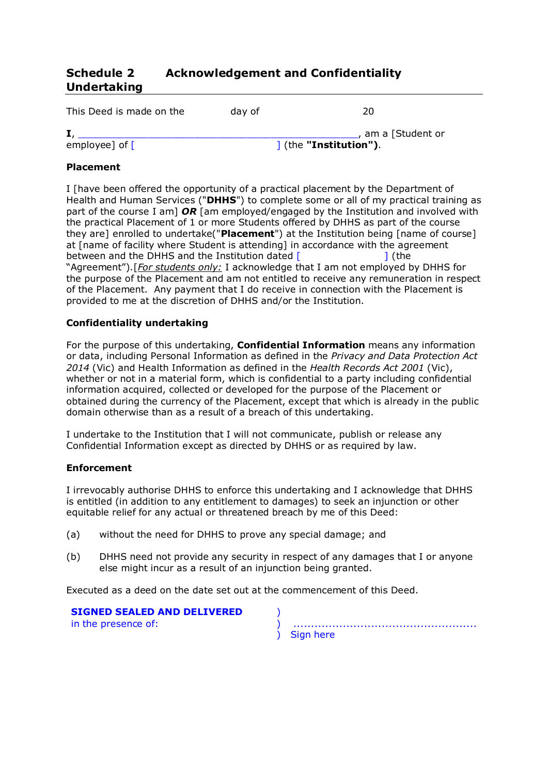# **Schedule 2 Acknowledgement and Confidentiality Undertaking**

| This Deed is made on the | day of | 20                                           |
|--------------------------|--------|----------------------------------------------|
| employee] of $\lceil$    |        | , am a [Student or<br>1 (the "Institution"). |

## **Placement**

I [have been offered the opportunity of a practical placement by the Department of Health and Human Services ("**DHHS**") to complete some or all of my practical training as part of the course I am] *OR* [am employed/engaged by the Institution and involved with the practical Placement of 1 or more Students offered by DHHS as part of the course they are] enrolled to undertake("**Placement**") at the Institution being [name of course] at [name of facility where Student is attending] in accordance with the agreement between and the DHHS and the Institution dated  $\begin{bmatrix} 1 \end{bmatrix}$  (the "Agreement").[*For students only:* I acknowledge that I am not employed by DHHS for the purpose of the Placement and am not entitled to receive any remuneration in respect of the Placement. Any payment that I do receive in connection with the Placement is provided to me at the discretion of DHHS and/or the Institution.

### **Confidentiality undertaking**

For the purpose of this undertaking, **Confidential Information** means any information or data, including Personal Information as defined in the *Privacy and Data Protection Act 2014* (Vic) and Health Information as defined in the *Health Records Act 2001* (Vic), whether or not in a material form, which is confidential to a party including confidential information acquired, collected or developed for the purpose of the Placement or obtained during the currency of the Placement, except that which is already in the public domain otherwise than as a result of a breach of this undertaking.

I undertake to the Institution that I will not communicate, publish or release any Confidential Information except as directed by DHHS or as required by law.

### **Enforcement**

I irrevocably authorise DHHS to enforce this undertaking and I acknowledge that DHHS is entitled (in addition to any entitlement to damages) to seek an injunction or other equitable relief for any actual or threatened breach by me of this Deed:

- (a) without the need for DHHS to prove any special damage; and
- (b) DHHS need not provide any security in respect of any damages that I or anyone else might incur as a result of an injunction being granted.

Executed as a deed on the date set out at the commencement of this Deed.

|  |                     |  | <b>SIGNED SEALED AND DELIVERED</b> |  |
|--|---------------------|--|------------------------------------|--|
|  | in the presence of: |  |                                    |  |

| ) Sign here |
|-------------|